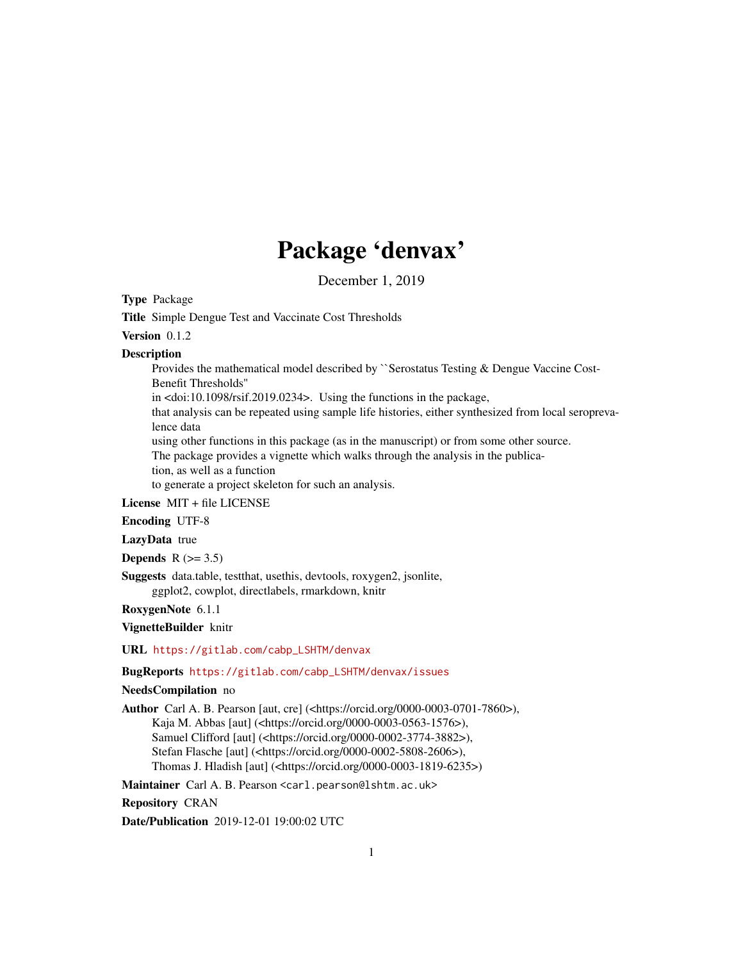## Package 'denvax'

December 1, 2019

<span id="page-0-0"></span>Type Package

Title Simple Dengue Test and Vaccinate Cost Thresholds

Version 0.1.2

#### **Description**

Provides the mathematical model described by ``Serostatus Testing & Dengue Vaccine Cost-Benefit Thresholds''

in <doi:10.1098/rsif.2019.0234>. Using the functions in the package,

that analysis can be repeated using sample life histories, either synthesized from local seroprevalence data

using other functions in this package (as in the manuscript) or from some other source.

The package provides a vignette which walks through the analysis in the publica-

tion, as well as a function

to generate a project skeleton for such an analysis.

License MIT + file LICENSE

Encoding UTF-8

LazyData true

Depends  $R$  ( $>= 3.5$ )

Suggests data.table, testthat, usethis, devtools, roxygen2, jsonlite, ggplot2, cowplot, directlabels, rmarkdown, knitr

RoxygenNote 6.1.1

VignetteBuilder knitr

URL [https://gitlab.com/cabp\\_LSHTM/denvax](https://gitlab.com/cabp_LSHTM/denvax)

#### BugReports [https://gitlab.com/cabp\\_LSHTM/denvax/issues](https://gitlab.com/cabp_LSHTM/denvax/issues)

#### NeedsCompilation no

Author Carl A. B. Pearson [aut, cre] (<https://orcid.org/0000-0003-0701-7860>), Kaja M. Abbas [aut] (<https://orcid.org/0000-0003-0563-1576>), Samuel Clifford [aut] (<https://orcid.org/0000-0002-3774-3882>), Stefan Flasche [aut] (<https://orcid.org/0000-0002-5808-2606>), Thomas J. Hladish [aut] (<https://orcid.org/0000-0003-1819-6235>)

Maintainer Carl A. B. Pearson <carl.pearson@lshtm.ac.uk>

Repository CRAN

Date/Publication 2019-12-01 19:00:02 UTC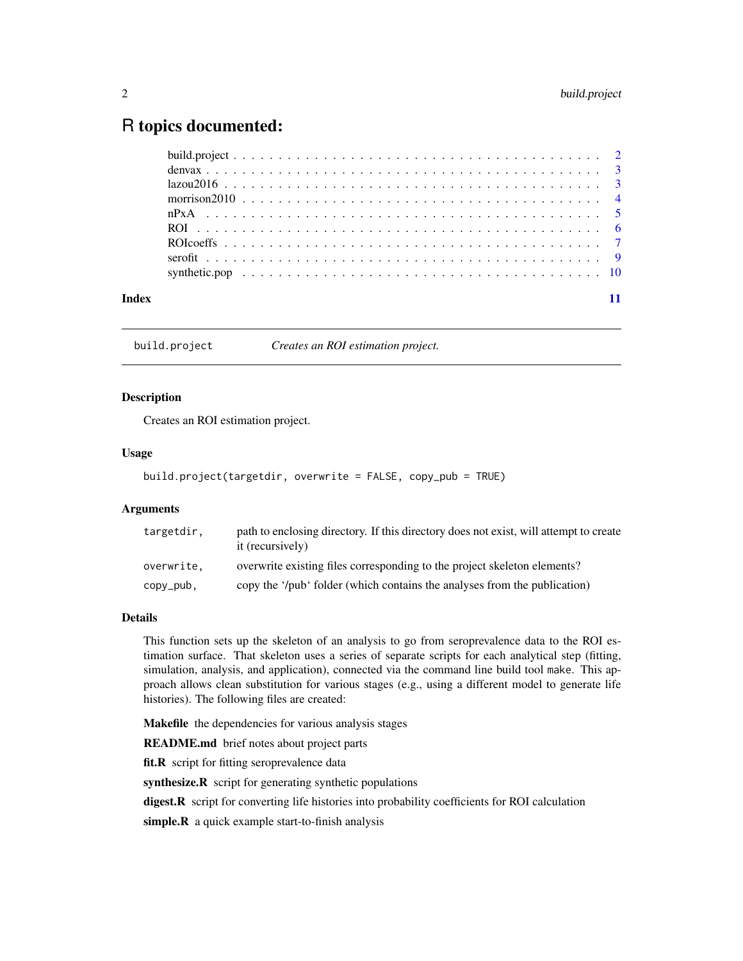### <span id="page-1-0"></span>R topics documented:

|       | $lazou2016 3$ |  |  |  |  |  |  |  |  |  |  |  |  |  |  |  |  |  |  |  |  |
|-------|---------------|--|--|--|--|--|--|--|--|--|--|--|--|--|--|--|--|--|--|--|--|
|       |               |  |  |  |  |  |  |  |  |  |  |  |  |  |  |  |  |  |  |  |  |
|       |               |  |  |  |  |  |  |  |  |  |  |  |  |  |  |  |  |  |  |  |  |
|       |               |  |  |  |  |  |  |  |  |  |  |  |  |  |  |  |  |  |  |  |  |
|       |               |  |  |  |  |  |  |  |  |  |  |  |  |  |  |  |  |  |  |  |  |
|       |               |  |  |  |  |  |  |  |  |  |  |  |  |  |  |  |  |  |  |  |  |
|       |               |  |  |  |  |  |  |  |  |  |  |  |  |  |  |  |  |  |  |  |  |
| Index |               |  |  |  |  |  |  |  |  |  |  |  |  |  |  |  |  |  |  |  |  |

<span id="page-1-1"></span>build.project *Creates an ROI estimation project.*

#### Description

Creates an ROI estimation project.

#### Usage

```
build.project(targetdir, overwrite = FALSE, copy_pub = TRUE)
```
#### **Arguments**

| targetdir, | path to enclosing directory. If this directory does not exist, will attempt to create<br>it (recursively) |
|------------|-----------------------------------------------------------------------------------------------------------|
| overwrite, | overwrite existing files corresponding to the project skeleton elements?                                  |
| copy_pub,  | copy the '/pub' folder (which contains the analyses from the publication)                                 |

#### Details

This function sets up the skeleton of an analysis to go from seroprevalence data to the ROI estimation surface. That skeleton uses a series of separate scripts for each analytical step (fitting, simulation, analysis, and application), connected via the command line build tool make. This approach allows clean substitution for various stages (e.g., using a different model to generate life histories). The following files are created:

Makefile the dependencies for various analysis stages

README.md brief notes about project parts

fit.R script for fitting seroprevalence data

synthesize.R script for generating synthetic populations

digest.R script for converting life histories into probability coefficients for ROI calculation

simple.R a quick example start-to-finish analysis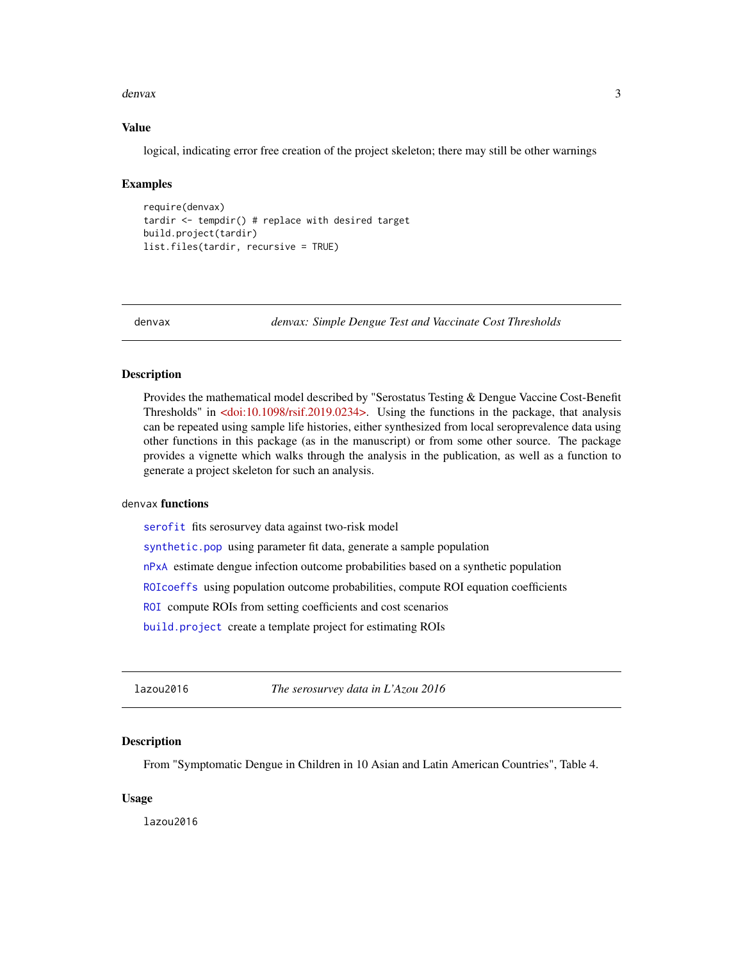#### <span id="page-2-0"></span>denvax 3

#### Value

logical, indicating error free creation of the project skeleton; there may still be other warnings

#### Examples

```
require(denvax)
tardir <- tempdir() # replace with desired target
build.project(tardir)
list.files(tardir, recursive = TRUE)
```
denvax *denvax: Simple Dengue Test and Vaccinate Cost Thresholds*

#### Description

Provides the mathematical model described by "Serostatus Testing & Dengue Vaccine Cost-Benefit Thresholds" in [<doi:10.1098/rsif.2019.0234>.](https://doi.org/10.1098/rsif.2019.0234) Using the functions in the package, that analysis can be repeated using sample life histories, either synthesized from local seroprevalence data using other functions in this package (as in the manuscript) or from some other source. The package provides a vignette which walks through the analysis in the publication, as well as a function to generate a project skeleton for such an analysis.

#### denvax functions

[serofit](#page-8-1) fits serosurvey data against two-risk model

[synthetic.pop](#page-9-1) using parameter fit data, generate a sample population

[nPxA](#page-4-1) estimate dengue infection outcome probabilities based on a synthetic population

[ROIcoeffs](#page-6-1) using population outcome probabilities, compute ROI equation coefficients

[ROI](#page-5-1) compute ROIs from setting coefficients and cost scenarios

[build.project](#page-1-1) create a template project for estimating ROIs

lazou2016 *The serosurvey data in L'Azou 2016*

#### **Description**

From "Symptomatic Dengue in Children in 10 Asian and Latin American Countries", Table 4.

#### Usage

lazou2016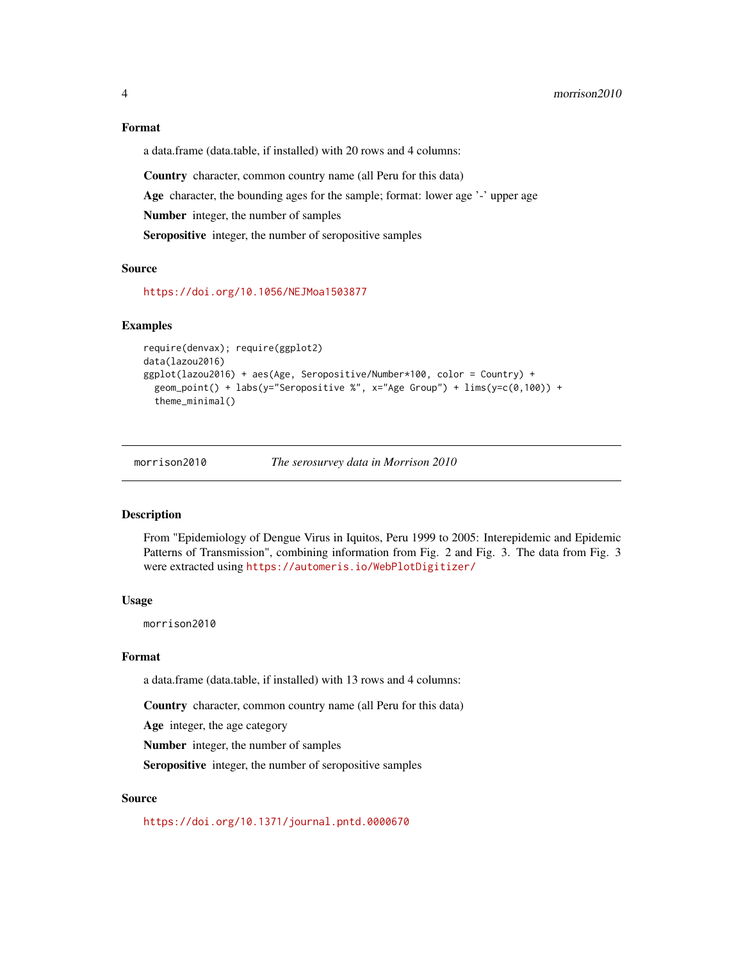#### <span id="page-3-0"></span>Format

a data.frame (data.table, if installed) with 20 rows and 4 columns:

Country character, common country name (all Peru for this data)

Age character, the bounding ages for the sample; format: lower age '-' upper age

Number integer, the number of samples

Seropositive integer, the number of seropositive samples

#### Source

<https://doi.org/10.1056/NEJMoa1503877>

#### Examples

```
require(denvax); require(ggplot2)
data(lazou2016)
ggplot(lazou2016) + aes(Age, Seropositive/Number*100, color = Country) +
 geom_point() + labs(y="Seropositive %", x="Age Group") + lims(y=c(0,100)) +
 theme_minimal()
```
morrison2010 *The serosurvey data in Morrison 2010*

#### Description

From "Epidemiology of Dengue Virus in Iquitos, Peru 1999 to 2005: Interepidemic and Epidemic Patterns of Transmission", combining information from Fig. 2 and Fig. 3. The data from Fig. 3 were extracted using <https://automeris.io/WebPlotDigitizer/>

#### Usage

morrison2010

#### Format

a data.frame (data.table, if installed) with 13 rows and 4 columns:

Country character, common country name (all Peru for this data)

Age integer, the age category

Number integer, the number of samples

Seropositive integer, the number of seropositive samples

#### Source

<https://doi.org/10.1371/journal.pntd.0000670>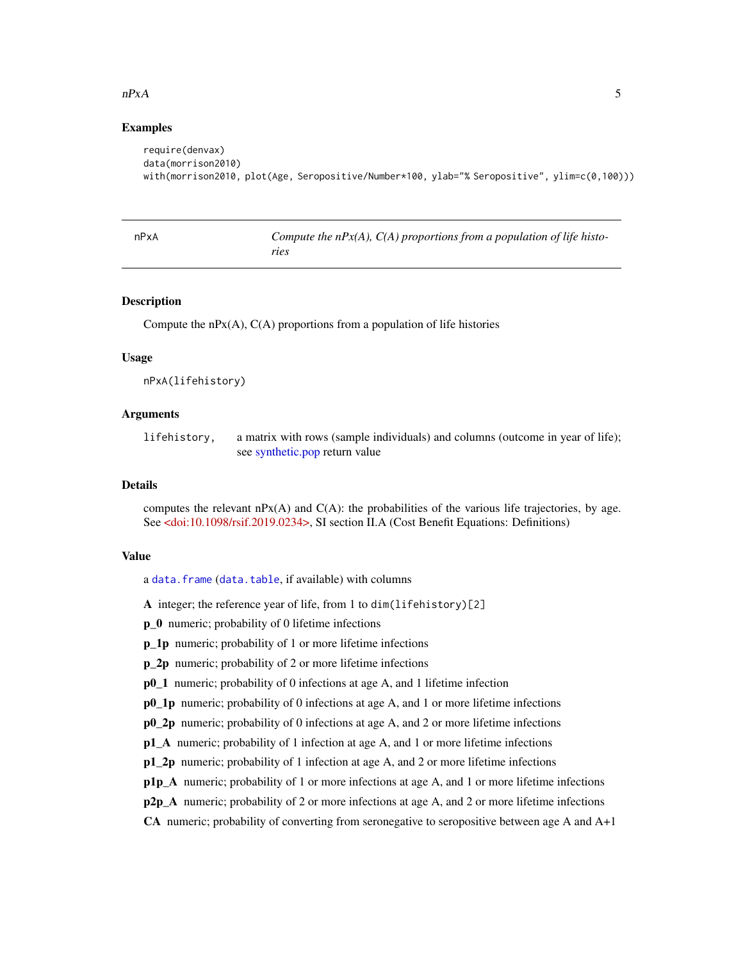#### <span id="page-4-0"></span> $nPxA$  5

#### Examples

```
require(denvax)
data(morrison2010)
with(morrison2010, plot(Age, Seropositive/Number*100, ylab="% Seropositive", ylim=c(0,100)))
```
<span id="page-4-1"></span>

| nPxA | Compute the $nP(x)$ , $C(A)$ proportions from a population of life histo- |
|------|---------------------------------------------------------------------------|
|      | ries                                                                      |

#### Description

Compute the  $nPX(A)$ ,  $C(A)$  proportions from a population of life histories

#### Usage

```
nPxA(lifehistory)
```
#### Arguments

lifehistory, a matrix with rows (sample individuals) and columns (outcome in year of life); see [synthetic.pop](#page-9-1) return value

#### **Details**

computes the relevant  $nPx(A)$  and  $C(A)$ : the probabilities of the various life trajectories, by age. See [<doi:10.1098/rsif.2019.0234>,](https://doi.org/10.1098/rsif.2019.0234) SI section II.A (Cost Benefit Equations: Definitions)

#### Value

a [data.frame](#page-0-0) ([data.table](#page-0-0), if available) with columns

A integer; the reference year of life, from 1 to dim(lifehistory)[2]

**p** 0 numeric; probability of 0 lifetime infections

p\_1p numeric; probability of 1 or more lifetime infections

p\_2p numeric; probability of 2 or more lifetime infections

p0\_1 numeric; probability of 0 infections at age A, and 1 lifetime infection

p0\_1p numeric; probability of 0 infections at age A, and 1 or more lifetime infections

p0 2p numeric; probability of 0 infections at age A, and 2 or more lifetime infections

p1\_A numeric; probability of 1 infection at age A, and 1 or more lifetime infections

p1\_2p numeric; probability of 1 infection at age A, and 2 or more lifetime infections

p1p\_A numeric; probability of 1 or more infections at age A, and 1 or more lifetime infections

 $p2p_A$  numeric; probability of 2 or more infections at age A, and 2 or more lifetime infections

CA numeric; probability of converting from seronegative to seropositive between age A and A+1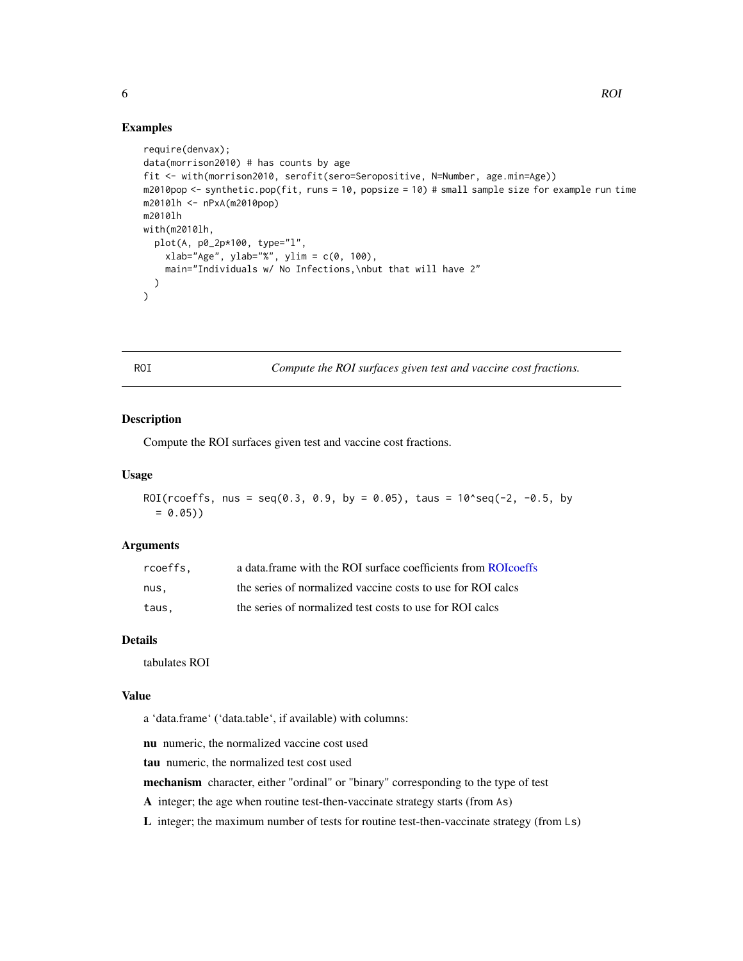#### Examples

```
require(denvax);
data(morrison2010) # has counts by age
fit <- with(morrison2010, serofit(sero=Seropositive, N=Number, age.min=Age))
m2010pop <- synthetic.pop(fit, runs = 10, popsize = 10) # small sample size for example run time
m2010lh <- nPxA(m2010pop)
m2010lh
with(m2010lh,
  plot(A, p0_2p*100, type="l",
    xlab="Age", ylab="%", ylim = c(0, 100),
    main="Individuals w/ No Infections,\nbut that will have 2"
  )
\mathcal{L}
```
<span id="page-5-1"></span>ROI *Compute the ROI surfaces given test and vaccine cost fractions.*

#### **Description**

Compute the ROI surfaces given test and vaccine cost fractions.

#### Usage

```
ROI(rcoeffs, nus = seq(0.3, 0.9, by = 0.05), taus = 10^{\circ}seq(-2, -0.5, by
  = 0.05)
```
#### Arguments

| rcoeffs. | a data.frame with the ROI surface coefficients from ROI coeffs |
|----------|----------------------------------------------------------------|
| nus.     | the series of normalized vaccine costs to use for ROI calcs    |
| taus,    | the series of normalized test costs to use for ROI calcs       |

#### Details

tabulates ROI

#### Value

a 'data.frame' ('data.table', if available) with columns:

nu numeric, the normalized vaccine cost used

tau numeric, the normalized test cost used

mechanism character, either "ordinal" or "binary" corresponding to the type of test

A integer; the age when routine test-then-vaccinate strategy starts (from As)

L integer; the maximum number of tests for routine test-then-vaccinate strategy (from Ls)

<span id="page-5-0"></span>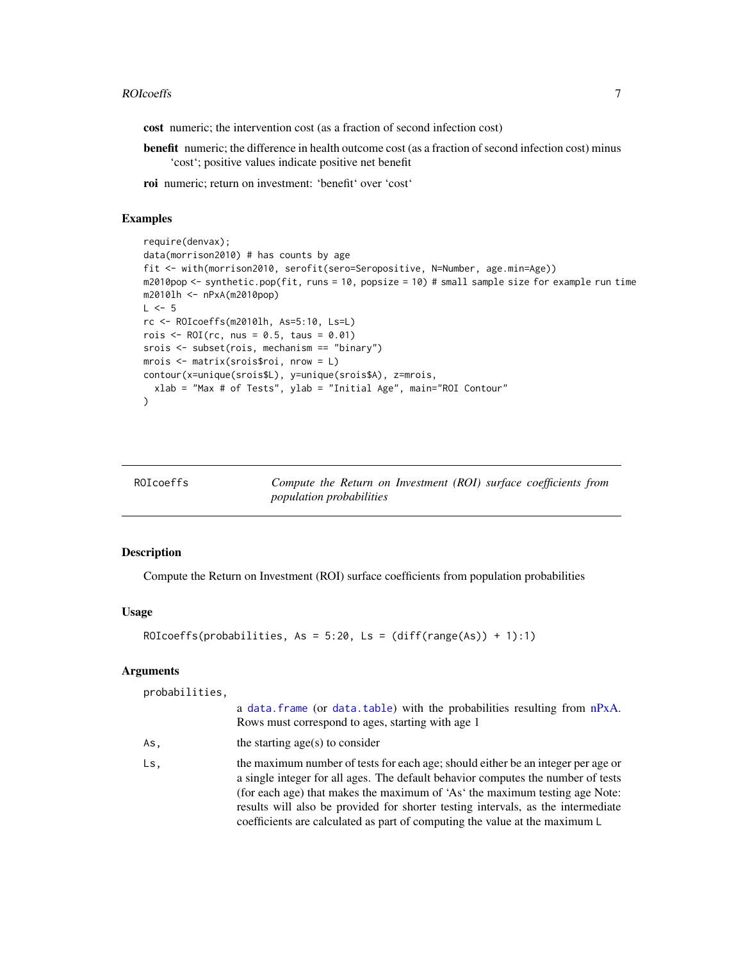#### <span id="page-6-0"></span>ROIcoeffs 7

cost numeric; the intervention cost (as a fraction of second infection cost)

benefit numeric; the difference in health outcome cost (as a fraction of second infection cost) minus 'cost'; positive values indicate positive net benefit

roi numeric; return on investment: 'benefit' over 'cost'

#### Examples

```
require(denvax);
data(morrison2010) # has counts by age
fit <- with(morrison2010, serofit(sero=Seropositive, N=Number, age.min=Age))
m2010pop <- synthetic.pop(fit, runs = 10, popsize = 10) # small sample size for example run time
m2010lh <- nPxA(m2010pop)
L \le -5rc <- ROIcoeffs(m2010lh, As=5:10, Ls=L)
rois \leq ROI(rc, nus = 0.5, taus = 0.01)
srois <- subset(rois, mechanism == "binary")
mrois <- matrix(srois$roi, nrow = L)
contour(x=unique(srois$L), y=unique(srois$A), z=mrois,
  xlab = "Max # of Tests", ylab = "Initial Age", main="ROI Contour"
\lambda
```
<span id="page-6-1"></span>

| ROIcoeffs |  |
|-----------|--|
|-----------|--|

Compute the Return on Investment (ROI) surface coefficients from *population probabilities*

#### Description

Compute the Return on Investment (ROI) surface coefficients from population probabilities

#### Usage

```
ROIcoeffs(probabilities, As = 5:20, Ls = (diff(range(As)) + 1):1)
```
#### Arguments

probabilities,

|     | a data. frame (or data. table) with the probabilities resulting from nPxA.<br>Rows must correspond to ages, starting with age 1                                                                                                                                                                                                                                                                                        |
|-----|------------------------------------------------------------------------------------------------------------------------------------------------------------------------------------------------------------------------------------------------------------------------------------------------------------------------------------------------------------------------------------------------------------------------|
| As. | the starting $age(s)$ to consider                                                                                                                                                                                                                                                                                                                                                                                      |
| Ls, | the maximum number of tests for each age; should either be an integer per age or<br>a single integer for all ages. The default behavior computes the number of tests<br>(for each age) that makes the maximum of 'As' the maximum testing age Note:<br>results will also be provided for shorter testing intervals, as the intermediate<br>coefficients are calculated as part of computing the value at the maximum L |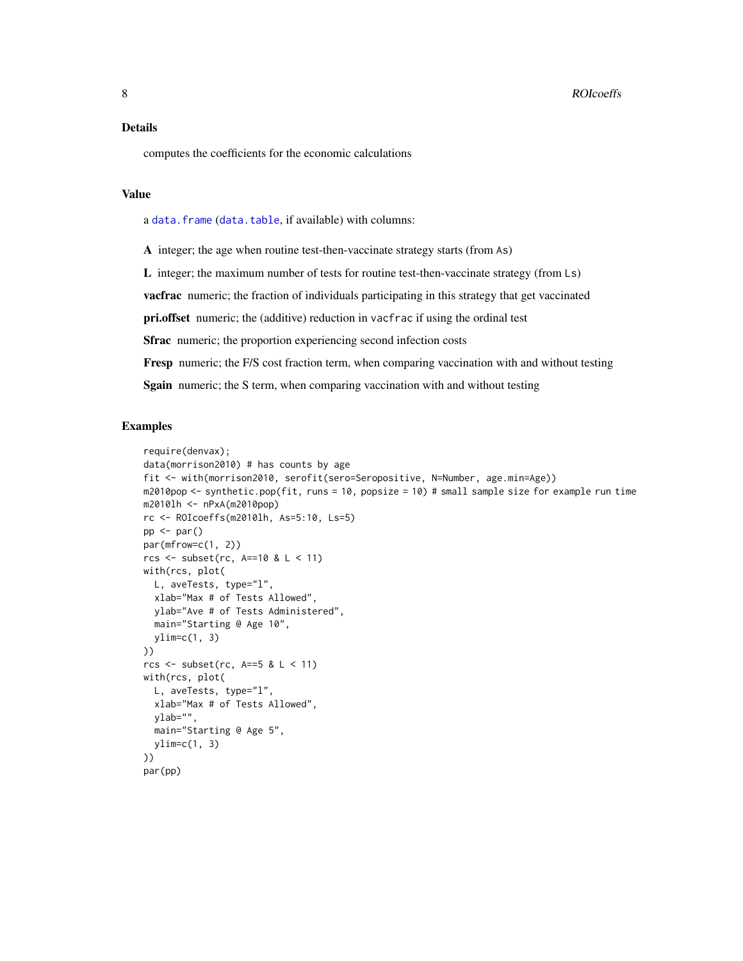#### <span id="page-7-0"></span>Details

computes the coefficients for the economic calculations

#### Value

a [data.frame](#page-0-0) ([data.table](#page-0-0), if available) with columns:

A integer; the age when routine test-then-vaccinate strategy starts (from As)

L integer; the maximum number of tests for routine test-then-vaccinate strategy (from Ls)

vacfrac numeric; the fraction of individuals participating in this strategy that get vaccinated

pri.offset numeric; the (additive) reduction in vacfrac if using the ordinal test

Sfrac numeric; the proportion experiencing second infection costs

Fresp numeric; the F/S cost fraction term, when comparing vaccination with and without testing

Sgain numeric; the S term, when comparing vaccination with and without testing

#### Examples

```
require(denvax);
data(morrison2010) # has counts by age
fit <- with(morrison2010, serofit(sero=Seropositive, N=Number, age.min=Age))
m2010pop <- synthetic.pop(fit, runs = 10, popsize = 10) # small sample size for example run time
m2010lh <- nPxA(m2010pop)
rc <- ROIcoeffs(m2010lh, As=5:10, Ls=5)
pp \leftarrow par()par(mfrow=c(1, 2))rcs <- subset(rc, A==10 & L < 11)
with(rcs, plot(
 L, aveTests, type="l",
  xlab="Max # of Tests Allowed",
 ylab="Ave # of Tests Administered",
 main="Starting @ Age 10",
  vlim=c(1, 3)))
rcs \le subset(rc, A==5 & L \le 11)
with(rcs, plot(
  L, aveTests, type="l",
  xlab="Max # of Tests Allowed",
  ylab="",
  main="Starting @ Age 5",
  ylim=c(1, 3)
))
par(pp)
```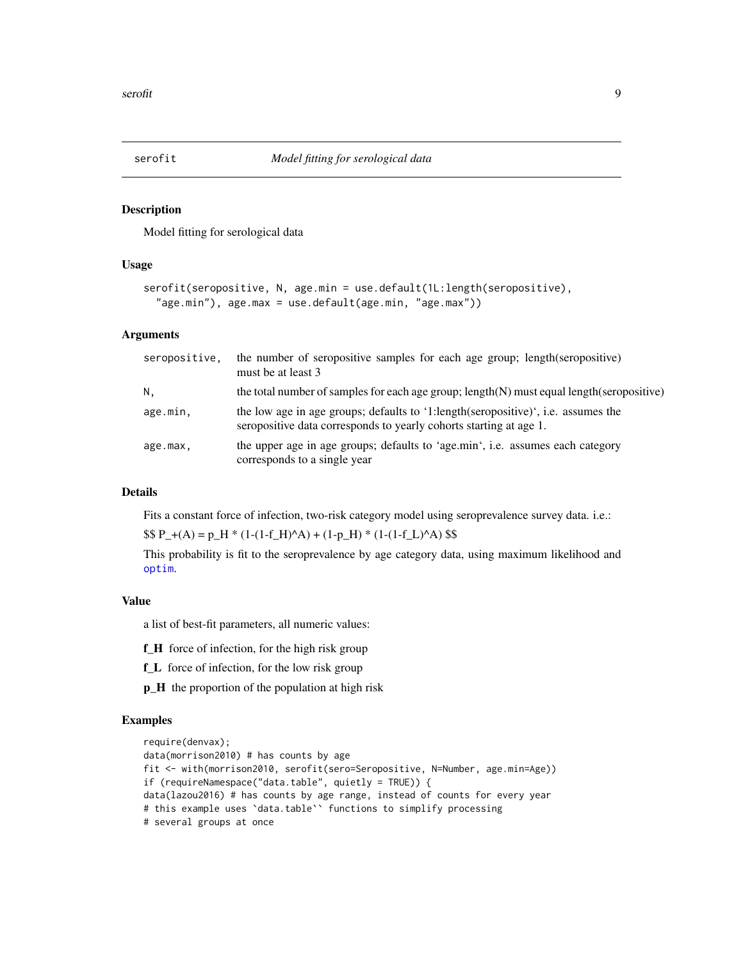<span id="page-8-1"></span><span id="page-8-0"></span>

#### Description

Model fitting for serological data

#### Usage

```
serofit(seropositive, N, age.min = use.default(1L:length(seropositive),
  "age.min"), age.max = use.default(age.min, "age.max"))
```
#### Arguments

| seropositive. | the number of seropositive samples for each age group; length(seropositive)<br>must be at least 3                                                       |
|---------------|---------------------------------------------------------------------------------------------------------------------------------------------------------|
| N.            | the total number of samples for each age group; length(N) must equal length(seropositive)                                                               |
| age.min,      | the low age in age groups; defaults to '1:length(seropositive)', i.e. assumes the<br>seropositive data corresponds to yearly cohorts starting at age 1. |
| age.max,      | the upper age in age groups; defaults to 'age.min', i.e. assumes each category<br>corresponds to a single year                                          |

#### Details

Fits a constant force of infection, two-risk category model using seroprevalence survey data. i.e.:

 $$P_{+}(A) = p_{+}H * (1-(1-f_{+}H)^{A}) + (1-p_{+}H) * (1-(1-f_{-}L)^{A})$  \$\$

This probability is fit to the seroprevalence by age category data, using maximum likelihood and [optim](#page-0-0).

#### Value

a list of best-fit parameters, all numeric values:

- f\_H force of infection, for the high risk group
- f\_L force of infection, for the low risk group
- p\_H the proportion of the population at high risk

#### Examples

```
require(denvax);
data(morrison2010) # has counts by age
fit <- with(morrison2010, serofit(sero=Seropositive, N=Number, age.min=Age))
if (requireNamespace("data.table", quietly = TRUE)) {
data(lazou2016) # has counts by age range, instead of counts for every year
# this example uses `data.table`` functions to simplify processing
# several groups at once
```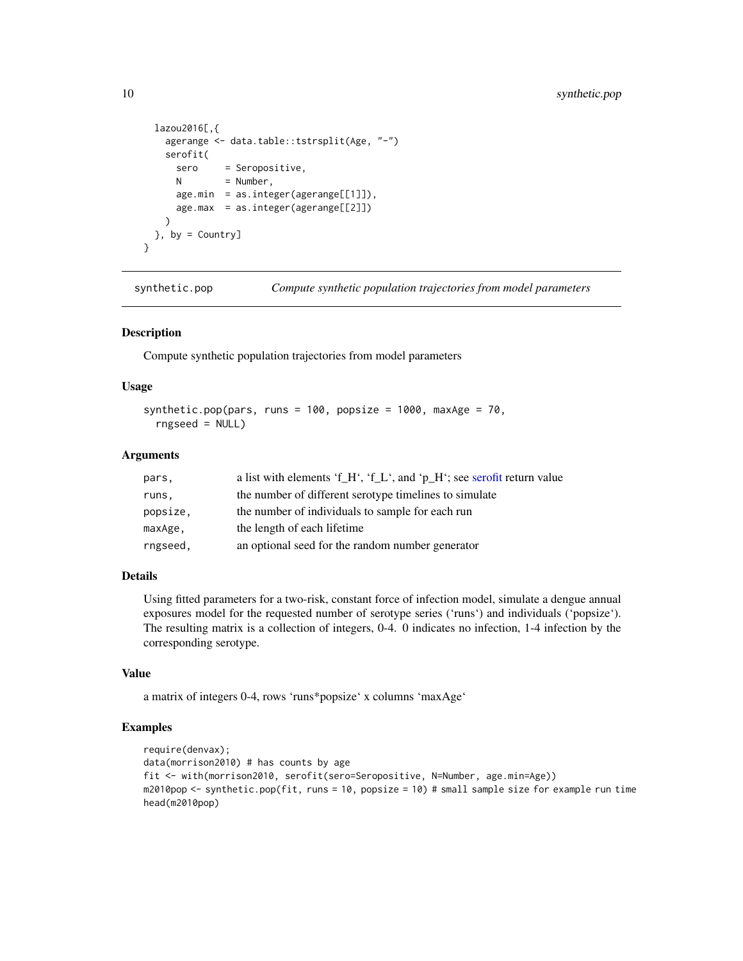```
lazou2016[,{
   agerange <- data.table::tstrsplit(Age, "-")
   serofit(
     sero = Seropositive,
     N = Number,
     age.min = as.integer(agerange[[1]]),
     age.max = as.integer(agerange[[2]])
   )
 }, by = Country]
}
```
<span id="page-9-1"></span>synthetic.pop *Compute synthetic population trajectories from model parameters*

#### **Description**

Compute synthetic population trajectories from model parameters

#### Usage

```
synthetic.pop(pars, runs = 100, popsize = 1000, maxAge = 70,
  rngseed = NULL)
```
#### Arguments

| pars,    | a list with elements 'f_H', 'f_L', and 'p_H'; see serofit return value |
|----------|------------------------------------------------------------------------|
| runs,    | the number of different serotype timelines to simulate                 |
| popsize, | the number of individuals to sample for each run                       |
| maxAge.  | the length of each lifetime                                            |
| rngseed, | an optional seed for the random number generator                       |

#### Details

Using fitted parameters for a two-risk, constant force of infection model, simulate a dengue annual exposures model for the requested number of serotype series ('runs') and individuals ('popsize'). The resulting matrix is a collection of integers, 0-4. 0 indicates no infection, 1-4 infection by the corresponding serotype.

#### Value

a matrix of integers 0-4, rows 'runs\*popsize' x columns 'maxAge'

#### Examples

```
require(denvax);
data(morrison2010) # has counts by age
fit <- with(morrison2010, serofit(sero=Seropositive, N=Number, age.min=Age))
m2010pop <- synthetic.pop(fit, runs = 10, popsize = 10) # small sample size for example run time
head(m2010pop)
```
<span id="page-9-0"></span>